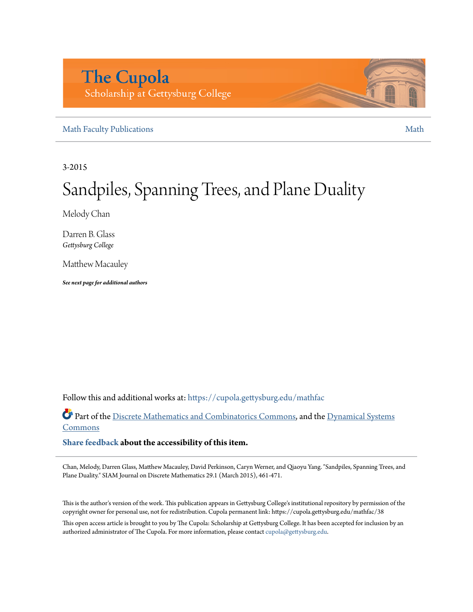# **The Cupola** Scholarship at Gettysburg College

[Math Faculty Publications](https://cupola.gettysburg.edu/mathfac?utm_source=cupola.gettysburg.edu%2Fmathfac%2F38&utm_medium=PDF&utm_campaign=PDFCoverPages) [Math](https://cupola.gettysburg.edu/math?utm_source=cupola.gettysburg.edu%2Fmathfac%2F38&utm_medium=PDF&utm_campaign=PDFCoverPages)

3-2015

# Sandpiles, Spanning Trees, and Plane Duality

Melody Chan

Darren B. Glass *Gettysburg College*

Matthew Macauley

*See next page for additional authors*

Follow this and additional works at: [https://cupola.gettysburg.edu/mathfac](https://cupola.gettysburg.edu/mathfac?utm_source=cupola.gettysburg.edu%2Fmathfac%2F38&utm_medium=PDF&utm_campaign=PDFCoverPages)

Part of the [Discrete Mathematics and Combinatorics Commons,](http://network.bepress.com/hgg/discipline/178?utm_source=cupola.gettysburg.edu%2Fmathfac%2F38&utm_medium=PDF&utm_campaign=PDFCoverPages) and the [Dynamical Systems](http://network.bepress.com/hgg/discipline/179?utm_source=cupola.gettysburg.edu%2Fmathfac%2F38&utm_medium=PDF&utm_campaign=PDFCoverPages) **[Commons](http://network.bepress.com/hgg/discipline/179?utm_source=cupola.gettysburg.edu%2Fmathfac%2F38&utm_medium=PDF&utm_campaign=PDFCoverPages)** 

**[Share feedback](https://docs.google.com/a/bepress.com/forms/d/1h9eEcpBPj5POs5oO6Y5A0blXRmZqykoonyYiZUNyEq8/viewform) about the accessibility of this item.**

Chan, Melody, Darren Glass, Matthew Macauley, David Perkinson, Caryn Werner, and Qiaoyu Yang. "Sandpiles, Spanning Trees, and Plane Duality." SIAM Journal on Discrete Mathematics 29.1 (March 2015), 461-471.

This is the author's version of the work. This publication appears in Gettysburg College's institutional repository by permission of the copyright owner for personal use, not for redistribution. Cupola permanent link: https://cupola.gettysburg.edu/mathfac/38

This open access article is brought to you by The Cupola: Scholarship at Gettysburg College. It has been accepted for inclusion by an authorized administrator of The Cupola. For more information, please contact [cupola@gettysburg.edu.](mailto:cupola@gettysburg.edu)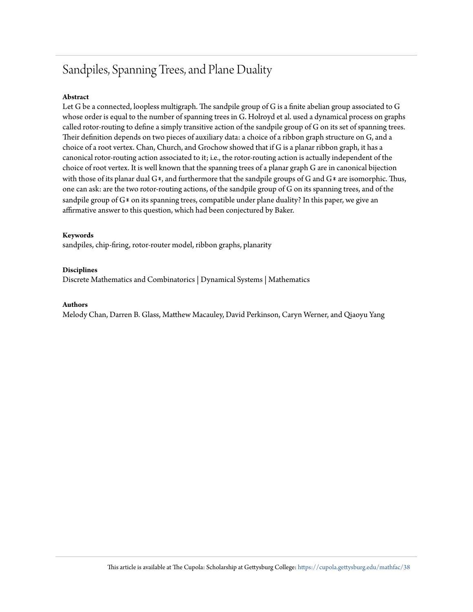# Sandpiles, Spanning Trees, and Plane Duality

## **Abstract**

Let G be a connected, loopless multigraph. The sandpile group of G is a finite abelian group associated to G whose order is equal to the number of spanning trees in G. Holroyd et al. used a dynamical process on graphs called rotor-routing to define a simply transitive action of the sandpile group of G on its set of spanning trees. Their definition depends on two pieces of auxiliary data: a choice of a ribbon graph structure on G, and a choice of a root vertex. Chan, Church, and Grochow showed that if G is a planar ribbon graph, it has a canonical rotor-routing action associated to it; i.e., the rotor-routing action is actually independent of the choice of root vertex. It is well known that the spanning trees of a planar graph G are in canonical bijection with those of its planar dual G∗, and furthermore that the sandpile groups of G and G\* are isomorphic. Thus, one can ask: are the two rotor-routing actions, of the sandpile group of G on its spanning trees, and of the sandpile group of G<sup>\*</sup> on its spanning trees, compatible under plane duality? In this paper, we give an affirmative answer to this question, which had been conjectured by Baker.

## **Keywords**

sandpiles, chip-firing, rotor-router model, ribbon graphs, planarity

#### **Disciplines**

Discrete Mathematics and Combinatorics | Dynamical Systems | Mathematics

### **Authors**

Melody Chan, Darren B. Glass, Matthew Macauley, David Perkinson, Caryn Werner, and Qiaoyu Yang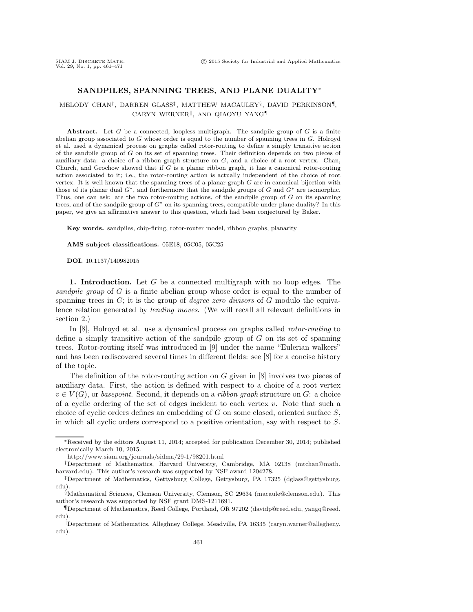#### **SANDPILES, SPANNING TREES, AND PLANE DUALITY**<sup>∗</sup>

#### MELODY CHAN†, DARREN GLASS‡ , MATTHEW MACAULEY§, DAVID PERKINSON¶, CARYN WERNER<sup>||</sup>, AND QIAOYU YANG¶

Abstract. Let  $G$  be a connected, loopless multigraph. The sandpile group of  $G$  is a finite abelian group associated to  $G$  whose order is equal to the number of spanning trees in  $G$ . Holroyd et al. used a dynamical process on graphs called rotor-routing to define a simply transitive action of the sandpile group of G on its set of spanning trees. Their definition depends on two pieces of auxiliary data: a choice of a ribbon graph structure on G, and a choice of a root vertex. Chan, Church, and Grochow showed that if  $G$  is a planar ribbon graph, it has a canonical rotor-routing action associated to it; i.e., the rotor-routing action is actually independent of the choice of root vertex. It is well known that the spanning trees of a planar graph  $G$  are in canonical bijection with those of its planar dual  $G^*$ , and furthermore that the sandpile groups of G and  $G^*$  are isomorphic. Thus, one can ask: are the two rotor-routing actions, of the sandpile group of G on its spanning trees, and of the sandpile group of G∗ on its spanning trees, compatible under plane duality? In this paper, we give an affirmative answer to this question, which had been conjectured by Baker.

**Key words.** sandpiles, chip-firing, rotor-router model, ribbon graphs, planarity

#### **AMS subject classifications.** 05E18, 05C05, 05C25

**DOI.** 10.1137/140982015

**1. Introduction.** Let G be a connected multigraph with no loop edges. The *sandpile group* of G is a finite abelian group whose order is equal to the number of spanning trees in G; it is the group of *degree zero divisors* of G modulo the equivalence relation generated by *lending moves*. (We will recall all relevant definitions in section [2.](#page-4-0))

In [\[8\]](#page-12-0), Holroyd et al. use a dynamical process on graphs called *rotor-routing* to define a simply transitive action of the sandpile group of  $G$  on its set of spanning trees. Rotor-routing itself was introduced in [\[9\]](#page-12-1) under the name "Eulerian walkers" and has been rediscovered several times in different fields: see [\[8\]](#page-12-0) for a concise history of the topic.

The definition of the rotor-routing action on  $G$  given in  $[8]$  involves two pieces of auxiliary data. First, the action is defined with respect to a choice of a root vertex  $v \in V(G)$ , or *basepoint*. Second, it depends on a *ribbon graph* structure on G: a choice of a cyclic ordering of the set of edges incident to each vertex  $v$ . Note that such a choice of cyclic orders defines an embedding of  $G$  on some closed, oriented surface  $S$ , in which all cyclic orders correspond to a positive orientation, say with respect to S.

<sup>∗</sup>Received by the editors August 11, 2014; accepted for publication December 30, 2014; published electronically March 10, 2015.

<http://www.siam.org/journals/sidma/29-1/98201.html>

<sup>†</sup>Department of Mathematics, Harvard University, Cambridge, MA 02138 [\(mtchan@math.](mailto:mtchan@math.harvard.edu) [harvard.edu\)](mailto:mtchan@math.harvard.edu). This author's research was supported by NSF award 1204278.

<sup>‡</sup>Department of Mathematics, Gettysburg College, Gettysburg, PA 17325 [\(dglass@gettysburg.](mailto:dglass@gettysburg.edu) [edu\)](mailto:dglass@gettysburg.edu).

<sup>§</sup>Mathematical Sciences, Clemson University, Clemson, SC 29634 [\(macaule@clemson.edu\)](mailto:macaule@clemson.edu). This author's research was supported by NSF grant DMS-1211691.

<sup>¶</sup>Department of Mathematics, Reed College, Portland, OR 97202 [\(davidp@reed.edu,](mailto:davidp@reed.edu) [yangq@reed.](mailto:yangq@reed.edu) [edu\)](mailto:yangq@reed.edu).

<sup>-</sup>Department of Mathematics, Alleghney College, Meadville, PA 16335 [\(caryn.warner@allegheny.](mailto:caryn.warner@allegheny.edu) [edu\)](mailto:caryn.warner@allegheny.edu).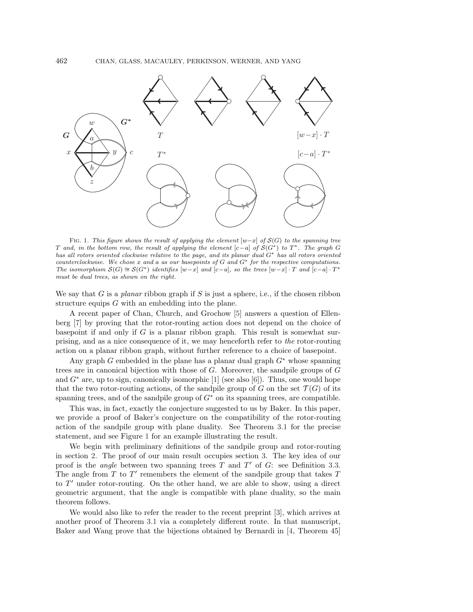462 CHAN, GLASS, MACAULEY, PERKINSON, WERNER, AND YANG



<span id="page-3-0"></span>Fig. 1. *This figure shows the result of applying the element* [w−x] *of* S(G) *to the spanning tree* T and, in the bottom row, the result of applying the element  $[c-a]$  of  $S(G^*)$  to  $T^*$ . The graph G *has all rotors oriented clockwise relative to the page, and its planar dual* G∗ *has all rotors oriented counterclockwise. We chose* x *and* a *as our basepoints of* G *and* G∗ *for the respective computations. The isomorphism*  $S(G) \cong S(G^*)$  *identifies*  $[w-x]$  *and*  $[c-a]$ *, so the trees*  $[w-x] \cdot T$  *and*  $[c-a] \cdot T^*$ *must be dual trees, as shown on the right.*

We say that  $G$  is a *planar* ribbon graph if  $S$  is just a sphere, i.e., if the chosen ribbon structure equips G with an embedding into the plane.

A recent paper of Chan, Church, and Grochow [\[5\]](#page-12-2) answers a question of Ellenberg [\[7\]](#page-12-3) by proving that the rotor-routing action does not depend on the choice of basepoint if and only if  $G$  is a planar ribbon graph. This result is somewhat surprising, and as a nice consequence of it, we may henceforth refer to *the* rotor-routing action on a planar ribbon graph, without further reference to a choice of basepoint.

Any graph G embedded in the plane has a planar dual graph  $G^*$  whose spanning trees are in canonical bijection with those of G. Moreover, the sandpile groups of G and  $G^*$  are, up to sign, canonically isomorphic [\[1\]](#page-12-4) (see also [\[6\]](#page-12-5)). Thus, one would hope that the two rotor-routing actions, of the sandpile group of G on the set  $\mathcal{T}(G)$  of its spanning trees, and of the sandpile group of  $G^*$  on its spanning trees, are compatible.

This was, in fact, exactly the conjecture suggested to us by Baker. In this paper, we provide a proof of Baker's conjecture on the compatibility of the rotor-routing action of the sandpile group with plane duality. See Theorem [3.1](#page-6-0) for the precise statement, and see Figure [1](#page-3-0) for an example illustrating the result.

We begin with preliminary definitions of the sandpile group and rotor-routing in section [2.](#page-4-0) The proof of our main result occupies section [3.](#page-6-1) The key idea of our proof is the *angle* between two spanning trees  $T$  and  $T'$  of  $G$ : see Definition [3.3.](#page-7-0) The angle from  $T$  to  $T'$  remembers the element of the sandpile group that takes  $T$ to  $T'$  under rotor-routing. On the other hand, we are able to show, using a direct geometric argument, that the angle is compatible with plane duality, so the main theorem follows.

We would also like to refer the reader to the recent preprint [\[3\]](#page-12-6), which arrives at another proof of Theorem [3.1](#page-6-0) via a completely different route. In that manuscript, Baker and Wang prove that the bijections obtained by Bernardi in [\[4,](#page-12-7) Theorem 45]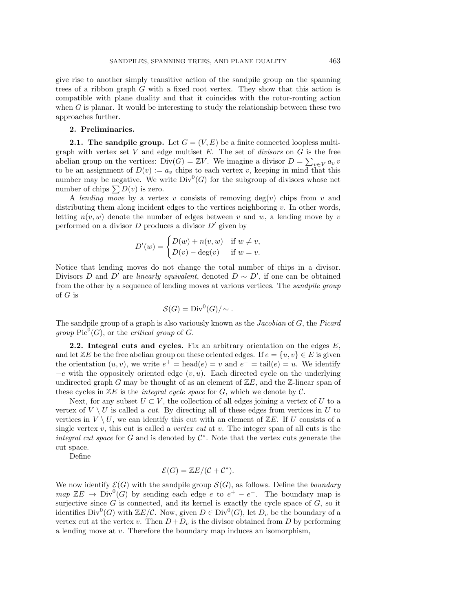give rise to another simply transitive action of the sandpile group on the spanning trees of a ribbon graph G with a fixed root vertex. They show that this action is compatible with plane duality and that it coincides with the rotor-routing action when  $G$  is planar. It would be interesting to study the relationship between these two approaches further.

#### <span id="page-4-0"></span>**2. Preliminaries.**

**2.1. The sandpile group.** Let  $G = (V, E)$  be a finite connected loopless multigraph with vertex set V and edge multiset E. The set of *divisors* on G is the free abelian group on the vertices:  $Div(G) = \mathbb{Z}V$ . We imagine a divisor  $D = \sum_{v \in V} a_v v$ to be an assignment of  $D(v) := a_v$  chips to each vertex v, keeping in mind that this number may be negative. We write  $Div^0(G)$  for the subgroup of divisors whose net number of chips  $\sum D(v)$  is zero.

A *lending move* by a vertex  $v$  consists of removing  $deg(v)$  chips from  $v$  and distributing them along incident edges to the vertices neighboring  $v$ . In other words, letting  $n(v, w)$  denote the number of edges between v and w, a lending move by v performed on a divisor  $D$  produces a divisor  $D'$  given by

$$
D'(w) = \begin{cases} D(w) + n(v, w) & \text{if } w \neq v, \\ D(v) - \text{deg}(v) & \text{if } w = v. \end{cases}
$$

Notice that lending moves do not change the total number of chips in a divisor. Divisors D and D' are *linearly equivalent*, denoted  $D \sim D'$ , if one can be obtained from the other by a sequence of lending moves at various vertices. The *sandpile group* of  $G$  is

$$
\mathcal{S}(G) = \text{Div}^0(G)/\sim.
$$

The sandpile group of a graph is also variously known as the *Jacobian* of G, the *Picard group*  $Pic^0(G)$ , or the *critical group* of G.

**2.2. Integral cuts and cycles.** Fix an arbitrary orientation on the edges E, and let  $\mathbb{Z}E$  be the free abelian group on these oriented edges. If  $e = \{u, v\} \in E$  is given the orientation  $(u, v)$ , we write  $e^+ = \text{head}(e) = v$  and  $e^- = \text{tail}(e) = u$ . We identify  $-e$  with the oppositely oriented edge  $(v, u)$ . Each directed cycle on the underlying undirected graph G may be thought of as an element of  $\mathbb{Z}E$ , and the  $\mathbb{Z}$ -linear span of these cycles in  $\mathbb{Z}E$  is the *integral cycle space* for  $G$ , which we denote by  $\mathcal{C}$ .

Next, for any subset  $U \subset V$ , the collection of all edges joining a vertex of U to a vertex of  $V \setminus U$  is called a *cut*. By directing all of these edges from vertices in U to vertices in  $V \setminus U$ , we can identify this cut with an element of  $\mathbb{Z}E$ . If U consists of a single vertex  $v$ , this cut is called a *vertex cut* at  $v$ . The integer span of all cuts is the *integral cut space* for G and is denoted by  $\mathcal{C}^*$ . Note that the vertex cuts generate the cut space.

Define

$$
\mathcal{E}(G) = \mathbb{Z}E/(\mathcal{C} + \mathcal{C}^*).
$$

We now identify  $\mathcal{E}(G)$  with the sandpile group  $\mathcal{S}(G)$ , as follows. Define the *boundary map*  $\mathbb{Z}E \to \text{Div}^0(G)$  by sending each edge e to  $e^+ - e^-$ . The boundary map is surjective since  $G$  is connected, and its kernel is exactly the cycle space of  $G$ , so it identifies  $\text{Div}^0(G)$  with  $\mathbb{Z}E/\mathcal{C}$ . Now, given  $D \in \text{Div}^0(G)$ , let  $D_v$  be the boundary of a vertex cut at the vertex v. Then  $D+D_v$  is the divisor obtained from D by performing a lending move at v. Therefore the boundary map induces an isomorphism,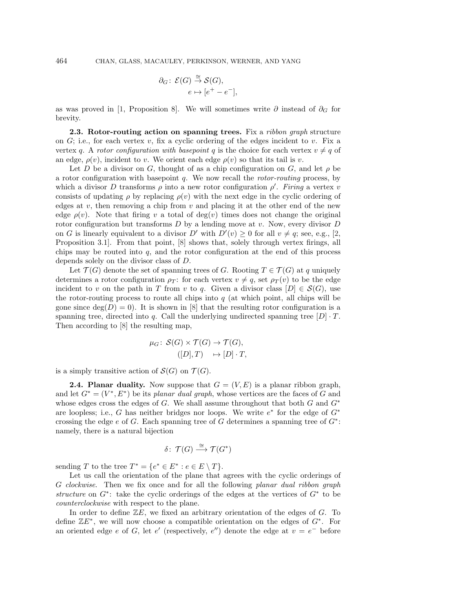$$
\partial_G \colon \mathcal{E}(G) \stackrel{\cong}{\to} \mathcal{S}(G),
$$
  

$$
e \mapsto [e^+ - e^-],
$$

as was proved in [\[1,](#page-12-4) Proposition 8]. We will sometimes write  $\partial$  instead of  $\partial_G$  for brevity.

<span id="page-5-0"></span>**2.3. Rotor-routing action on spanning trees.** Fix a *ribbon graph* structure on  $G$ ; i.e., for each vertex v, fix a cyclic ordering of the edges incident to v. Fix a vertex q. A *rotor configuration with basepoint* q is the choice for each vertex  $v \neq q$  of an edge,  $\rho(v)$ , incident to v. We orient each edge  $\rho(v)$  so that its tail is v.

Let D be a divisor on G, thought of as a chip configuration on G, and let  $\rho$  be a rotor configuration with basepoint q. We now recall the *rotor-routing* process, by which a divisor D transforms  $\rho$  into a new rotor configuration  $\rho'$ . *Firing* a vertex v consists of updating  $\rho$  by replacing  $\rho(v)$  with the next edge in the cyclic ordering of edges at  $v$ , then removing a chip from  $v$  and placing it at the other end of the new edge  $\rho(v)$ . Note that firing v a total of deg(v) times does not change the original rotor configuration but transforms  $D$  by a lending move at v. Now, every divisor  $D$ on G is linearly equivalent to a divisor  $D'$  with  $D'(v) \geq 0$  for all  $v \neq q$ ; see, e.g., [\[2,](#page-12-8) Proposition 3.1]. From that point, [\[8\]](#page-12-0) shows that, solely through vertex firings, all chips may be routed into  $q$ , and the rotor configuration at the end of this process depends solely on the divisor class of D.

Let  $\mathcal{T}(G)$  denote the set of spanning trees of G. Rooting  $T \in \mathcal{T}(G)$  at q uniquely determines a rotor configuration  $\rho_T$ : for each vertex  $v \neq q$ , set  $\rho_T(v)$  to be the edge incident to v on the path in T from v to q. Given a divisor class  $[D] \in \mathcal{S}(G)$ , use the rotor-routing process to route all chips into  $q$  (at which point, all chips will be gone since  $\deg(D) = 0$ . It is shown in [\[8\]](#page-12-0) that the resulting rotor configuration is a spanning tree, directed into q. Call the underlying undirected spanning tree  $[D] \cdot T$ . Then according to [\[8\]](#page-12-0) the resulting map,

$$
\mu_G\colon S(G)\times \mathcal{T}(G)\to \mathcal{T}(G),
$$
  

$$
([D],T)\quad \mapsto [D]\cdot T,
$$

is a simply transitive action of  $\mathcal{S}(G)$  on  $\mathcal{T}(G)$ .

**2.4. Planar duality.** Now suppose that  $G = (V, E)$  is a planar ribbon graph, and let  $G^* = (V^*, E^*)$  be its *planar dual graph*, whose vertices are the faces of G and whose edges cross the edges of G. We shall assume throughout that both G and  $G^*$ are loopless; i.e., G has neither bridges nor loops. We write  $e^*$  for the edge of  $G^*$ crossing the edge e of G. Each spanning tree of G determines a spanning tree of  $G^*$ : namely, there is a natural bijection

$$
\delta\colon\thinspace \mathcal{T}(G)\stackrel{\cong}{\longrightarrow} \mathcal{T}(G^*)
$$

sending T to the tree  $T^* = \{e^* \in E^* : e \in E \setminus T\}.$ 

Let us call the orientation of the plane that agrees with the cyclic orderings of G *clockwise*. Then we fix once and for all the following *planar dual ribbon graph structure* on  $G^*$ : take the cyclic orderings of the edges at the vertices of  $G^*$  to be *counterclockwise* with respect to the plane.

In order to define  $\mathbb{Z}E$ , we fixed an arbitrary orientation of the edges of  $G$ . To define  $\mathbb{Z}E^*$ , we will now choose a compatible orientation on the edges of  $G^*$ . For an oriented edge e of G, let e' (respectively, e'') denote the edge at  $v = e^-$  before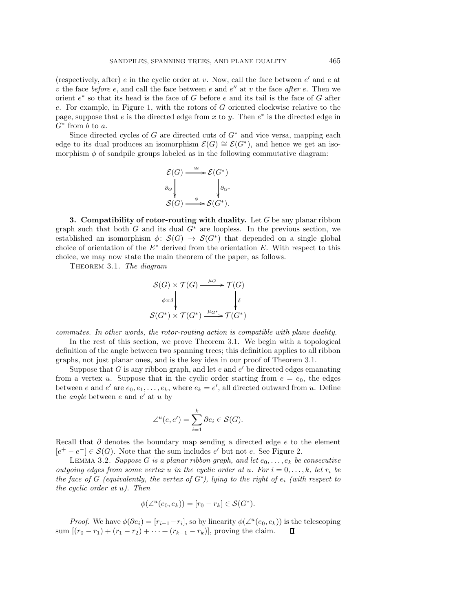(respectively, after) e in the cyclic order at v. Now, call the face between  $e'$  and e at v the face *before* e, and call the face between e and  $e''$  at v the face *after* e. Then we orient  $e^*$  so that its head is the face of G before e and its tail is the face of G after e. For example, in Figure [1,](#page-3-0) with the rotors of G oriented clockwise relative to the page, suppose that e is the directed edge from x to y. Then  $e^*$  is the directed edge in  $G^*$  from b to a.

Since directed cycles of G are directed cuts of  $G^*$  and vice versa, mapping each edge to its dual produces an isomorphism  $\mathcal{E}(G) \cong \mathcal{E}(G^*)$ , and hence we get an isomorphism  $\phi$  of sandpile groups labeled as in the following commutative diagram:

$$
\mathcal{E}(G) \xrightarrow{\cong} \mathcal{E}(G^*)
$$
  
\n
$$
\begin{array}{c}\n\partial_G \\
\downarrow \\
\mathcal{S}(G) \xrightarrow{\phi} \mathcal{S}(G^*).\n\end{array}
$$

<span id="page-6-1"></span>**3. Compatibility of rotor-routing with duality.** Let G be any planar ribbon graph such that both G and its dual  $G^*$  are loopless. In the previous section, we established an isomorphism  $\phi: S(G) \to S(G^*)$  that depended on a single global choice of orientation of the  $E^*$  derived from the orientation E. With respect to this choice, we may now state the main theorem of the paper, as follows.

<span id="page-6-0"></span>Theorem 3.1. *The diagram*

$$
\mathcal{S}(G) \times \mathcal{T}(G) \xrightarrow{\mu_G} \mathcal{T}(G)
$$
\n
$$
\phi \times \delta \downarrow \qquad \qquad \downarrow \delta
$$
\n
$$
\mathcal{S}(G^*) \times \mathcal{T}(G^*) \xrightarrow{\mu_G^*} \mathcal{T}(G^*)
$$

*commutes. In other words, the rotor-routing action is compatible with plane duality.*

In the rest of this section, we prove Theorem [3.1.](#page-6-0) We begin with a topological definition of the angle between two spanning trees; this definition applies to all ribbon graphs, not just planar ones, and is the key idea in our proof of Theorem [3.1.](#page-6-0)

Suppose that G is any ribbon graph, and let  $e$  and  $e'$  be directed edges emanating from a vertex u. Suppose that in the cyclic order starting from  $e = e_0$ , the edges between e and  $e'$  are  $e_0, e_1, \ldots, e_k$ , where  $e_k = e'$ , all directed outward from u. Define the *angle* between  $e$  and  $e'$  at  $u$  by

$$
\angle^u(e, e') = \sum_{i=1}^k \partial e_i \in \mathcal{S}(G).
$$

Recall that  $\partial$  denotes the boundary map sending a directed edge e to the element  $[e^+ - e^-] \in \mathcal{S}(G)$ . Note that the sum includes e' but not e. See Figure [2.](#page-7-1)

<span id="page-6-2"></span>LEMMA 3.2. *Suppose* G is a planar ribbon graph, and let  $e_0, \ldots, e_k$  be consecutive *outgoing edges from some vertex* u *in the cyclic order at u. For*  $i = 0, \ldots, k$ , let  $r_i$  be *the face of* G *(equivalently, the vertex of* G<sup>∗</sup> *), lying to the right of* e<sup>i</sup> *(with respect to the cyclic order at* u*). Then*

$$
\phi(\angle^u(e_0, e_k)) = [r_0 - r_k] \in \mathcal{S}(G^*).
$$

*Proof.* We have  $\phi(\partial e_i)=[r_{i-1}-r_i]$ , so by linearity  $\phi(\angle^u(e_0, e_k))$  is the telescoping sum  $[(r_0 - r_1) + (r_1 - r_2) + \cdots + (r_{k-1} - r_k)],$  proving the claim.  $\Box$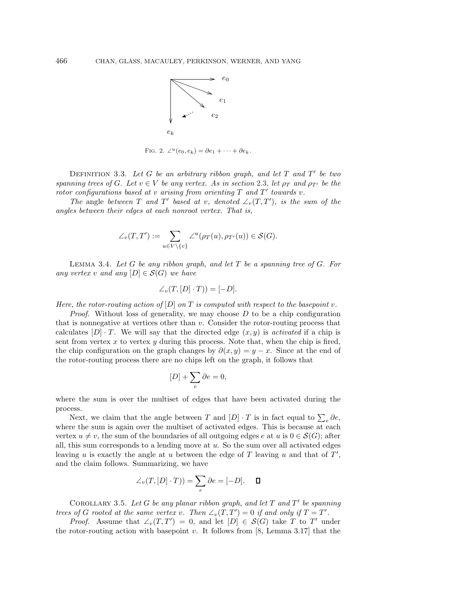

<span id="page-7-1"></span>FIG. 2.  $\angle^u(e_0, e_k) = \partial e_1 + \cdots + \partial e_k$ .

<span id="page-7-0"></span>Definition 3.3. *Let* G *be an arbitrary ribbon graph, and let* T *and* T *be two spanning trees of G. Let*  $v \in V$  *be any vertex. As in section* [2.3](#page-5-0)*, let*  $\rho_T$  *and*  $\rho_{T'}$  *be the rotor configurations based at v arising from orienting*  $T$  *and*  $T'$  *towards*  $v$ *.* 

*The* angle *between*  $T$  *and*  $T'$  *based at* v, *denoted*  $\angle_v(T, T')$ *, is the sum of the angles between their edges at each nonroot vertex. That is,*

$$
\angle_v(T,T') := \sum_{u \in V \setminus \{v\}} \angle^u(\rho_T(u), \rho_{T'}(u)) \in \mathcal{S}(G).
$$

<span id="page-7-2"></span>Lemma 3.4. *Let* G *be any ribbon graph, and let* T *be a spanning tree of* G*. For any vertex* v and any  $[D] \in \mathcal{S}(G)$  *we have* 

$$
\angle_v(T, [D] \cdot T)) = [-D].
$$

*Here, the rotor-routing action of* [D] *on* T *is computed with respect to the basepoint* v*.*

*Proof.* Without loss of generality, we may choose  $D$  to be a chip configuration that is nonnegative at vertices other than  $v$ . Consider the rotor-routing process that calculates  $[D] \cdot T$ . We will say that the directed edge  $(x, y)$  is *activated* if a chip is sent from vertex x to vertex y during this process. Note that, when the chip is fired, the chip configuration on the graph changes by  $\partial(x, y) = y - x$ . Since at the end of the rotor-routing process there are no chips left on the graph, it follows that

$$
[D] + \sum_{e} \partial e = 0,
$$

where the sum is over the multiset of edges that have been activated during the process.

Next, we claim that the angle between T and  $[D] \cdot T$  is in fact equal to  $\sum_{e} \partial e$ , where the sum is again over the multiset of activated edges. This is because at each vertex  $u \neq v$ , the sum of the boundaries of all outgoing edges e at u is  $0 \in \mathcal{S}(G)$ ; after all, this sum corresponds to a lending move at  $u$ . So the sum over all activated edges leaving  $u$  is exactly the angle at  $u$  between the edge of  $T$  leaving  $u$  and that of  $T'$ , and the claim follows. Summarizing, we have

$$
\angle_v(T, [D] \cdot T)) = \sum_e \partial e = [-D]. \quad \Box
$$

<span id="page-7-3"></span>COROLLARY 3.5. Let  $G$  be any planar ribbon graph, and let  $T$  and  $T'$  be spanning *trees of* G *rooted at the same vertex* v. Then  $\angle_v(T, T') = 0$  *if and only if*  $T = T'$ .

*Proof.* Assume that  $\angle_v(T, T') = 0$ , and let  $[D] \in S(G)$  take T to T' under the rotor-routing action with basepoint  $v$ . It follows from [\[8,](#page-12-0) Lemma 3.17] that the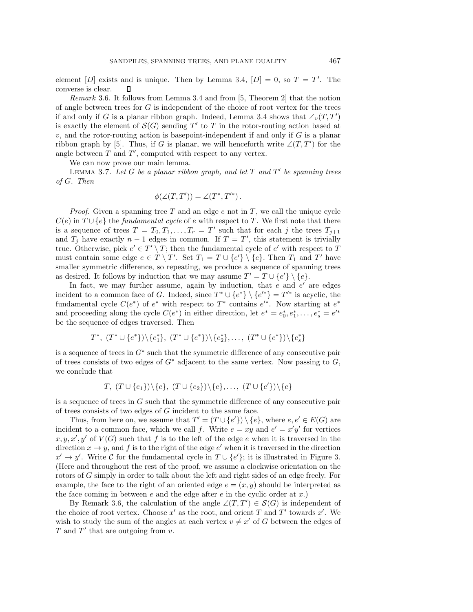<span id="page-8-0"></span>element [D] exists and is unique. Then by Lemma [3.4,](#page-7-2)  $[D] = 0$ , so  $T = T'$ . The converse is clear. Π

*Remark* 3.6. It follows from Lemma [3.4](#page-7-2) and from [\[5,](#page-12-2) Theorem 2] that the notion of angle between trees for  $G$  is independent of the choice of root vertex for the trees if and only if G is a planar ribbon graph. Indeed, Lemma [3.4](#page-7-2) shows that  $\angle_v(T, T')$ is exactly the element of  $\mathcal{S}(G)$  sending T' to T in the rotor-routing action based at  $v$ , and the rotor-routing action is basepoint-independent if and only if  $G$  is a planar ribbon graph by [\[5\]](#page-12-2). Thus, if G is planar, we will henceforth write  $\angle(T, T')$  for the angle between  $T$  and  $T'$ , computed with respect to any vertex.

We can now prove our main lemma.

<span id="page-8-1"></span>LEMMA 3.7. Let  $G$  be a planar ribbon graph, and let  $T$  and  $T'$  be spanning trees *of* G*. Then*

$$
\phi(\angle(T,T')) = \angle(T^*,T'^*).
$$

*Proof.* Given a spanning tree  $T$  and an edge  $e$  not in  $T$ , we call the unique cycle  $C(e)$  in  $T \cup \{e\}$  the *fundamental cycle* of e with respect to T. We first note that there is a sequence of trees  $T = T_0, T_1, \ldots, T_r = T'$  such that for each j the trees  $T_{j+1}$ and  $T_j$  have exactly  $n-1$  edges in common. If  $T = T'$ , this statement is trivially true. Otherwise, pick  $e' \in T' \setminus T$ ; then the fundamental cycle of  $e'$  with respect to T must contain some edge  $e \in T \setminus T'$ . Set  $T_1 = T \cup \{e'\} \setminus \{e\}$ . Then  $T_1$  and  $T'$  have smaller symmetric difference, so repeating, we produce a sequence of spanning trees as desired. It follows by induction that we may assume  $T' = T \cup \{e'\} \setminus \{e\}.$ 

In fact, we may further assume, again by induction, that  $e$  and  $e'$  are edges incident to a common face of G. Indeed, since  $T^* \cup \{e^*\}\setminus \{e'^*\} = T'^*$  is acyclic, the fundamental cycle  $C(e^*)$  of  $e^*$  with respect to  $T^*$  contains  $e'^*$ . Now starting at  $e^*$ and proceeding along the cycle  $C(e^*)$  in either direction, let  $e^* = e_0^*, e_1^*, \ldots, e_s^* = e'^*$ be the sequence of edges traversed. Then

$$
T^*, (T^* \cup \{e^*\}) \setminus \{e_1^*\}, (T^* \cup \{e^*\}) \setminus \{e_2^*\}, \ldots, (T^* \cup \{e^*\}) \setminus \{e_s^*\}
$$

is a sequence of trees in  $G^*$  such that the symmetric difference of any consecutive pair of trees consists of two edges of  $G^*$  adjacent to the same vertex. Now passing to  $G$ , we conclude that

$$
T, (T \cup \{e_1\}) \setminus \{e\}, (T \cup \{e_2\}) \setminus \{e\}, \ldots, (T \cup \{e'\}) \setminus \{e\}
$$

is a sequence of trees in G such that the symmetric difference of any consecutive pair of trees consists of two edges of G incident to the same face.

Thus, from here on, we assume that  $T' = (T \cup \{e'\}) \setminus \{e\}$ , where  $e, e' \in E(G)$  are incident to a common face, which we call f. Write  $e = xy$  and  $e' = x'y'$  for vertices  $x, y, x', y'$  of  $V(G)$  such that f is to the left of the edge e when it is traversed in the direction  $x \to y$ , and f is to the right of the edge e' when it is traversed in the direction  $x' \to y'$ . Write C for the fundamental cycle in  $T \cup \{e'\}$ ; it is illustrated in Figure [3.](#page-9-0) (Here and throughout the rest of the proof, we assume a clockwise orientation on the rotors of G simply in order to talk about the left and right sides of an edge freely. For example, the face to the right of an oriented edge  $e = (x, y)$  should be interpreted as the face coming in between e and the edge after  $e$  in the cyclic order at  $x$ .)

By Remark [3.6,](#page-8-0) the calculation of the angle  $\angle(T, T') \in \mathcal{S}(G)$  is independent of the choice of root vertex. Choose  $x'$  as the root, and orient T and T' towards  $x'$ . We wish to study the sum of the angles at each vertex  $v \neq x'$  of G between the edges of  $T$  and  $T'$  that are outgoing from  $v$ .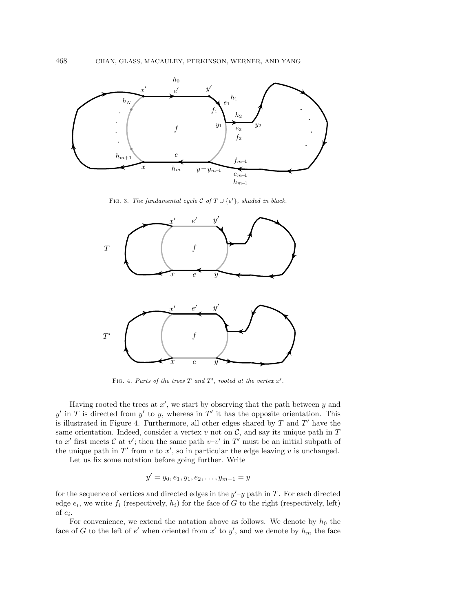

<span id="page-9-0"></span>FIG. 3. The fundamental cycle  $\mathcal{C}$  of  $T \cup \{e'\}$ , shaded in black.



<span id="page-9-1"></span>FIG. 4. Parts of the trees  $T$  and  $T'$ , rooted at the vertex  $x'$ .

Having rooted the trees at  $x'$ , we start by observing that the path between  $y$  and  $y'$  in T is directed from  $y'$  to  $y$ , whereas in T' it has the opposite orientation. This is illustrated in Figure [4.](#page-9-1) Furthermore, all other edges shared by  $T$  and  $T'$  have the same orientation. Indeed, consider a vertex v not on  $\mathcal{C}$ , and say its unique path in T to x' first meets C at v'; then the same path  $v-v'$  in T' must be an initial subpath of the unique path in  $T'$  from v to  $x'$ , so in particular the edge leaving v is unchanged.

Let us fix some notation before going further. Write

$$
y' = y_0, e_1, y_1, e_2, \dots, y_{m-1} = y
$$

for the sequence of vertices and directed edges in the  $y'-y$  path in T. For each directed edge  $e_i$ , we write  $f_i$  (respectively,  $h_i$ ) for the face of G to the right (respectively, left) of  $e_i$ .

For convenience, we extend the notation above as follows. We denote by  $h_0$  the face of G to the left of  $e'$  when oriented from  $x'$  to  $y'$ , and we denote by  $h_m$  the face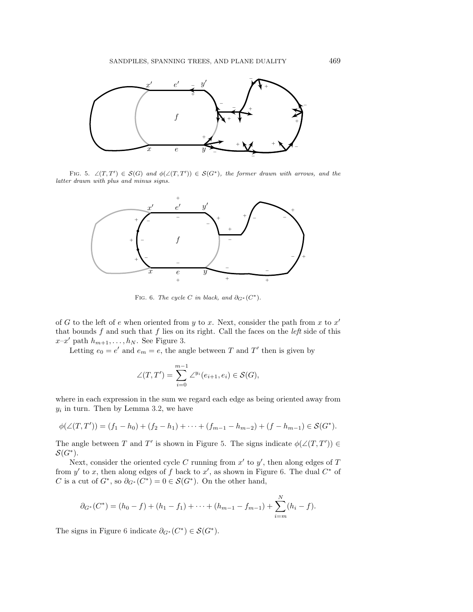

FIG. 5.  $\angle(T,T') \in S(G)$  and  $\phi(\angle(T,T')) \in S(G^*)$ , the former drawn with arrows, and the *latter drawn with plus and minus signs.*

<span id="page-10-0"></span>

<span id="page-10-1"></span>FIG. 6. *The cycle*  $C$  *in black, and*  $\partial_{G^*}(C^*)$ *.* 

of G to the left of e when oriented from y to x. Next, consider the path from x to  $x'$ that bounds  $f$  and such that  $f$  lies on its right. Call the faces on the *left* side of this  $x-x'$  path  $h_{m+1},\ldots,h_N$ . See Figure [3.](#page-9-0)

Letting  $e_0 = e'$  and  $e_m = e$ , the angle between T and T' then is given by

$$
\angle(T,T') = \sum_{i=0}^{m-1} \angle^{y_i}(e_{i+1},e_i) \in \mathcal{S}(G),
$$

where in each expression in the sum we regard each edge as being oriented away from  $y_i$  in turn. Then by Lemma [3.2,](#page-6-2) we have

$$
\phi(\angle(T,T')) = (f_1 - h_0) + (f_2 - h_1) + \cdots + (f_{m-1} - h_{m-2}) + (f - h_{m-1}) \in \mathcal{S}(G^*).
$$

The angle between T and T' is shown in Figure [5.](#page-10-0) The signs indicate  $\phi(\angle(T,T')) \in$  $\mathcal{S}(G^*).$ 

Next, consider the oriented cycle C running from  $x'$  to  $y'$ , then along edges of T from  $y'$  to x, then along edges of f back to x', as shown in Figure [6.](#page-10-1) The dual  $C^*$  of C is a cut of  $G^*$ , so  $\partial_{G^*}(C^*)=0 \in \mathcal{S}(G^*)$ . On the other hand,

$$
\partial_{G^*}(C^*) = (h_0 - f) + (h_1 - f_1) + \dots + (h_{m-1} - f_{m-1}) + \sum_{i=m}^N (h_i - f).
$$

The signs in Figure [6](#page-10-1) indicate  $\partial_{G^*}(C^*) \in \mathcal{S}(G^*)$ .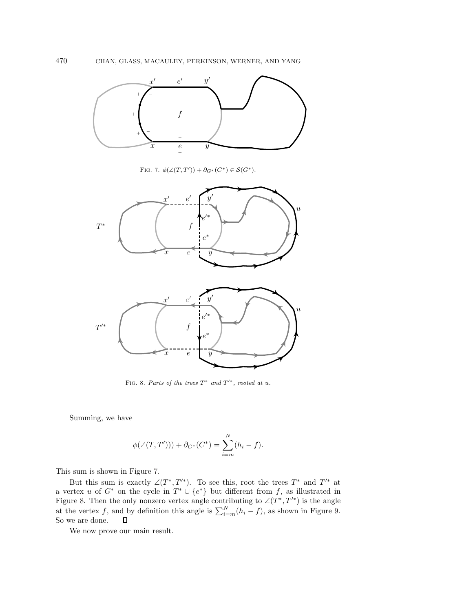

<span id="page-11-0"></span>FIG. 7.  $\phi(\angle(T, T')) + \partial_{G^*}(C^*) \in \mathcal{S}(G^*)$ .



<span id="page-11-1"></span>FIG. 8. Parts of the trees  $T^*$  and  $T'^*$ , rooted at  $u$ .

Summing, we have

$$
\phi(\angle(T, T')) + \partial_{G^*}(C^*) = \sum_{i=m}^N (h_i - f).
$$

This sum is shown in Figure [7.](#page-11-0)

But this sum is exactly  $\angle(T^*,T'^*)$ . To see this, root the trees  $T^*$  and  $T'^*$  at a vertex u of  $G^*$  on the cycle in  $T^* \cup \{e^*\}$  but different from f, as illustrated in Figure [8.](#page-11-1) Then the only nonzero vertex angle contributing to  $\angle(T^*,T'^*)$  is the angle at the vertex f, and by definition this angle is  $\sum_{i=m}^{N} (h_i - f)$ , as shown in Figure [9.](#page-12-9) So we are done.  $\Box$ 

We now prove our main result.